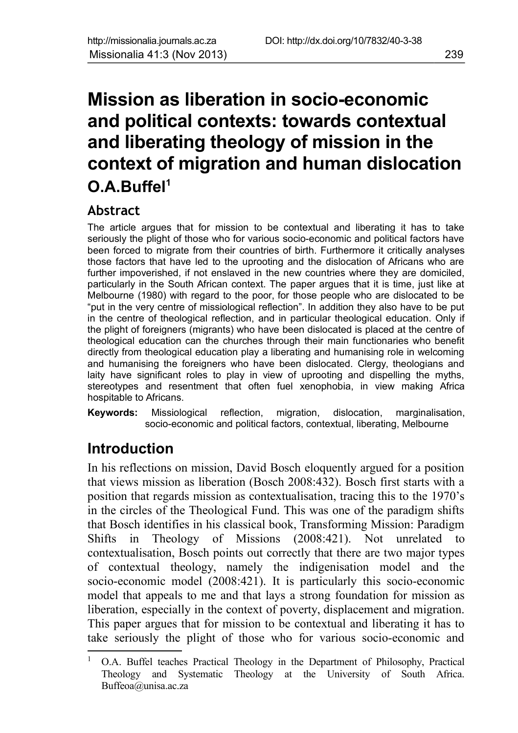# **Mission as liberation in socio-economic and political contexts: towards contextual and liberating theology of mission in the context of migration and human dislocation O.A.Buffel[1](#page-0-0)**

## **Abstract**

The article argues that for mission to be contextual and liberating it has to take seriously the plight of those who for various socio-economic and political factors have been forced to migrate from their countries of birth. Furthermore it critically analyses those factors that have led to the uprooting and the dislocation of Africans who are further impoverished, if not enslaved in the new countries where they are domiciled, particularly in the South African context. The paper argues that it is time, just like at Melbourne (1980) with regard to the poor, for those people who are dislocated to be "put in the very centre of missiological reflection". In addition they also have to be put in the centre of theological reflection, and in particular theological education. Only if the plight of foreigners (migrants) who have been dislocated is placed at the centre of theological education can the churches through their main functionaries who benefit directly from theological education play a liberating and humanising role in welcoming and humanising the foreigners who have been dislocated. Clergy, theologians and laity have significant roles to play in view of uprooting and dispelling the myths, stereotypes and resentment that often fuel xenophobia, in view making Africa hospitable to Africans.

**Keywords:** Missiological reflection, migration, dislocation, marginalisation, socio-economic and political factors, contextual, liberating, Melbourne

# **Introduction**

In his reflections on mission, David Bosch eloquently argued for a position that views mission as liberation (Bosch 2008:432). Bosch first starts with a position that regards mission as contextualisation, tracing this to the 1970's in the circles of the Theological Fund. This was one of the paradigm shifts that Bosch identifies in his classical book, Transforming Mission: Paradigm Shifts in Theology of Missions (2008:421). Not unrelated to contextualisation, Bosch points out correctly that there are two major types of contextual theology, namely the indigenisation model and the socio-economic model (2008:421). It is particularly this socio-economic model that appeals to me and that lays a strong foundation for mission as liberation, especially in the context of poverty, displacement and migration. This paper argues that for mission to be contextual and liberating it has to take seriously the plight of those who for various socio-economic and

<span id="page-0-0"></span><sup>1</sup> O.A. Buffel teaches Practical Theology in the Department of Philosophy, Practical Theology and Systematic Theology at the University of South Africa. Buffeoa@unisa.ac.za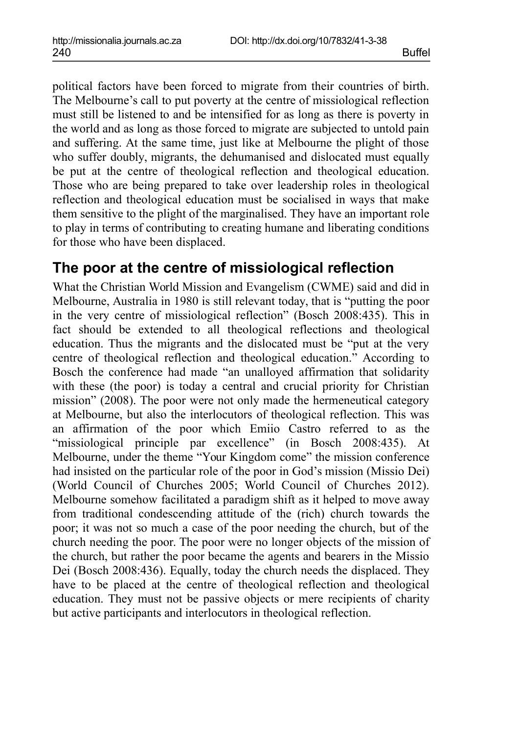political factors have been forced to migrate from their countries of birth. The Melbourne's call to put poverty at the centre of missiological reflection must still be listened to and be intensified for as long as there is poverty in the world and as long as those forced to migrate are subjected to untold pain and suffering. At the same time, just like at Melbourne the plight of those who suffer doubly, migrants, the dehumanised and dislocated must equally be put at the centre of theological reflection and theological education. Those who are being prepared to take over leadership roles in theological reflection and theological education must be socialised in ways that make them sensitive to the plight of the marginalised. They have an important role to play in terms of contributing to creating humane and liberating conditions for those who have been displaced.

## **The poor at the centre of missiological reflection**

What the Christian World Mission and Evangelism (CWME) said and did in Melbourne, Australia in 1980 is still relevant today, that is "putting the poor in the very centre of missiological reflection" (Bosch 2008:435). This in fact should be extended to all theological reflections and theological education. Thus the migrants and the dislocated must be "put at the very centre of theological reflection and theological education." According to Bosch the conference had made "an unalloyed affirmation that solidarity with these (the poor) is today a central and crucial priority for Christian mission" (2008). The poor were not only made the hermeneutical category at Melbourne, but also the interlocutors of theological reflection. This was an affirmation of the poor which Emiio Castro referred to as the "missiological principle par excellence" (in Bosch 2008:435). At Melbourne, under the theme "Your Kingdom come" the mission conference had insisted on the particular role of the poor in God's mission (Missio Dei) (World Council of Churches 2005; World Council of Churches 2012). Melbourne somehow facilitated a paradigm shift as it helped to move away from traditional condescending attitude of the (rich) church towards the poor; it was not so much a case of the poor needing the church, but of the church needing the poor. The poor were no longer objects of the mission of the church, but rather the poor became the agents and bearers in the Missio Dei (Bosch 2008:436). Equally, today the church needs the displaced. They have to be placed at the centre of theological reflection and theological education. They must not be passive objects or mere recipients of charity but active participants and interlocutors in theological reflection.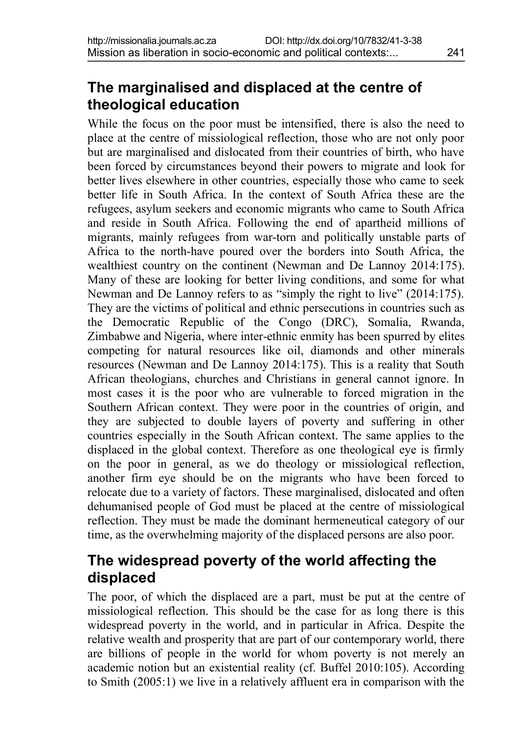## **The marginalised and displaced at the centre of theological education**

While the focus on the poor must be intensified, there is also the need to place at the centre of missiological reflection, those who are not only poor but are marginalised and dislocated from their countries of birth, who have been forced by circumstances beyond their powers to migrate and look for better lives elsewhere in other countries, especially those who came to seek better life in South Africa. In the context of South Africa these are the refugees, asylum seekers and economic migrants who came to South Africa and reside in South Africa. Following the end of apartheid millions of migrants, mainly refugees from war-torn and politically unstable parts of Africa to the north-have poured over the borders into South Africa, the wealthiest country on the continent (Newman and De Lannoy 2014:175). Many of these are looking for better living conditions, and some for what Newman and De Lannoy refers to as "simply the right to live" (2014:175). They are the victims of political and ethnic persecutions in countries such as the Democratic Republic of the Congo (DRC), Somalia, Rwanda, Zimbabwe and Nigeria, where inter-ethnic enmity has been spurred by elites competing for natural resources like oil, diamonds and other minerals resources (Newman and De Lannoy 2014:175). This is a reality that South African theologians, churches and Christians in general cannot ignore. In most cases it is the poor who are vulnerable to forced migration in the Southern African context. They were poor in the countries of origin, and they are subjected to double layers of poverty and suffering in other countries especially in the South African context. The same applies to the displaced in the global context. Therefore as one theological eye is firmly on the poor in general, as we do theology or missiological reflection, another firm eye should be on the migrants who have been forced to relocate due to a variety of factors. These marginalised, dislocated and often dehumanised people of God must be placed at the centre of missiological reflection. They must be made the dominant hermeneutical category of our time, as the overwhelming majority of the displaced persons are also poor.

## **The widespread poverty of the world affecting the displaced**

The poor, of which the displaced are a part, must be put at the centre of missiological reflection. This should be the case for as long there is this widespread poverty in the world, and in particular in Africa. Despite the relative wealth and prosperity that are part of our contemporary world, there are billions of people in the world for whom poverty is not merely an academic notion but an existential reality (cf. Buffel 2010:105). According to Smith (2005:1) we live in a relatively affluent era in comparison with the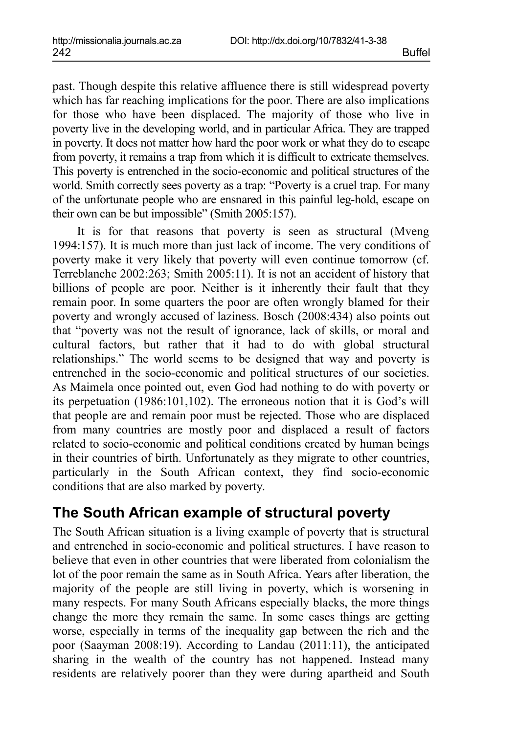past. Though despite this relative affluence there is still widespread poverty which has far reaching implications for the poor. There are also implications for those who have been displaced. The majority of those who live in poverty live in the developing world, and in particular Africa. They are trapped in poverty. It does not matter how hard the poor work or what they do to escape from poverty, it remains a trap from which it is difficult to extricate themselves. This poverty is entrenched in the socio-economic and political structures of the world. Smith correctly sees poverty as a trap: "Poverty is a cruel trap. For many of the unfortunate people who are ensnared in this painful leg-hold, escape on their own can be but impossible" (Smith 2005:157).

It is for that reasons that poverty is seen as structural (Mveng 1994:157). It is much more than just lack of income. The very conditions of poverty make it very likely that poverty will even continue tomorrow (cf. Terreblanche 2002:263; Smith 2005:11). It is not an accident of history that billions of people are poor. Neither is it inherently their fault that they remain poor. In some quarters the poor are often wrongly blamed for their poverty and wrongly accused of laziness. Bosch (2008:434) also points out that "poverty was not the result of ignorance, lack of skills, or moral and cultural factors, but rather that it had to do with global structural relationships." The world seems to be designed that way and poverty is entrenched in the socio-economic and political structures of our societies. As Maimela once pointed out, even God had nothing to do with poverty or its perpetuation (1986:101,102). The erroneous notion that it is God's will that people are and remain poor must be rejected. Those who are displaced from many countries are mostly poor and displaced a result of factors related to socio-economic and political conditions created by human beings in their countries of birth. Unfortunately as they migrate to other countries, particularly in the South African context, they find socio-economic conditions that are also marked by poverty.

## **The South African example of structural poverty**

The South African situation is a living example of poverty that is structural and entrenched in socio-economic and political structures. I have reason to believe that even in other countries that were liberated from colonialism the lot of the poor remain the same as in South Africa. Years after liberation, the majority of the people are still living in poverty, which is worsening in many respects. For many South Africans especially blacks, the more things change the more they remain the same. In some cases things are getting worse, especially in terms of the inequality gap between the rich and the poor (Saayman 2008:19). According to Landau (2011:11), the anticipated sharing in the wealth of the country has not happened. Instead many residents are relatively poorer than they were during apartheid and South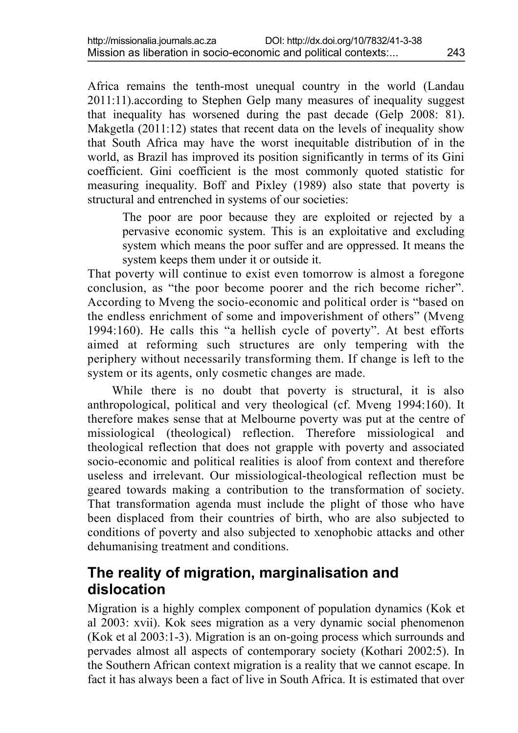Africa remains the tenth-most unequal country in the world (Landau 2011:11).according to Stephen Gelp many measures of inequality suggest that inequality has worsened during the past decade (Gelp 2008: 81). Makgetla  $(2011:12)$  states that recent data on the levels of inequality show that South Africa may have the worst inequitable distribution of in the world, as Brazil has improved its position significantly in terms of its Gini coefficient. Gini coefficient is the most commonly quoted statistic for measuring inequality. Boff and Pixley (1989) also state that poverty is structural and entrenched in systems of our societies:

The poor are poor because they are exploited or rejected by a pervasive economic system. This is an exploitative and excluding system which means the poor suffer and are oppressed. It means the system keeps them under it or outside it.

That poverty will continue to exist even tomorrow is almost a foregone conclusion, as "the poor become poorer and the rich become richer". According to Mveng the socio-economic and political order is "based on the endless enrichment of some and impoverishment of others" (Mveng 1994:160). He calls this "a hellish cycle of poverty". At best efforts aimed at reforming such structures are only tempering with the periphery without necessarily transforming them. If change is left to the system or its agents, only cosmetic changes are made.

While there is no doubt that poverty is structural, it is also anthropological, political and very theological (cf. Mveng 1994:160). It therefore makes sense that at Melbourne poverty was put at the centre of missiological (theological) reflection. Therefore missiological and theological reflection that does not grapple with poverty and associated socio-economic and political realities is aloof from context and therefore useless and irrelevant. Our missiological-theological reflection must be geared towards making a contribution to the transformation of society. That transformation agenda must include the plight of those who have been displaced from their countries of birth, who are also subjected to conditions of poverty and also subjected to xenophobic attacks and other dehumanising treatment and conditions.

## **The reality of migration, marginalisation and dislocation**

Migration is a highly complex component of population dynamics (Kok et al 2003: xvii). Kok sees migration as a very dynamic social phenomenon (Kok et al 2003:1-3). Migration is an on-going process which surrounds and pervades almost all aspects of contemporary society (Kothari 2002:5). In the Southern African context migration is a reality that we cannot escape. In fact it has always been a fact of live in South Africa. It is estimated that over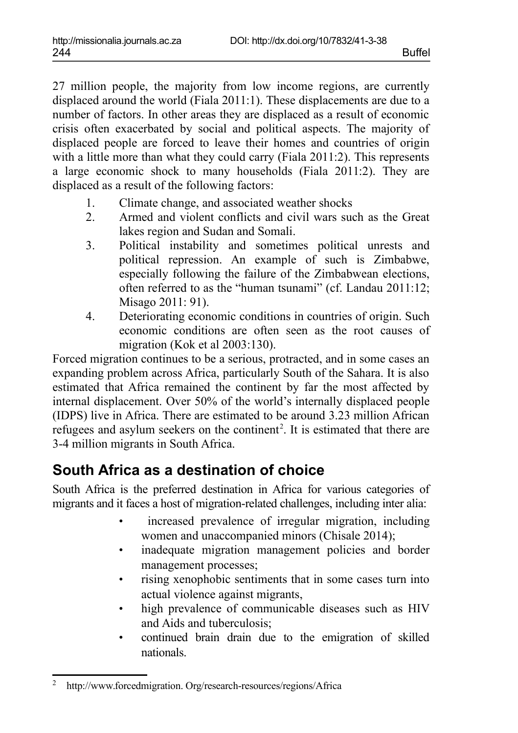27 million people, the majority from low income regions, are currently displaced around the world (Fiala 2011:1). These displacements are due to a number of factors. In other areas they are displaced as a result of economic crisis often exacerbated by social and political aspects. The majority of displaced people are forced to leave their homes and countries of origin with a little more than what they could carry (Fiala 2011:2). This represents a large economic shock to many households (Fiala 2011:2). They are displaced as a result of the following factors:

- 1. Climate change, and associated weather shocks
- 2. Armed and violent conflicts and civil wars such as the Great lakes region and Sudan and Somali.
- 3. Political instability and sometimes political unrests and political repression. An example of such is Zimbabwe, especially following the failure of the Zimbabwean elections, often referred to as the "human tsunami" (cf. Landau 2011:12; Misago 2011: 91).
- 4. Deteriorating economic conditions in countries of origin. Such economic conditions are often seen as the root causes of migration (Kok et al 2003:130).

Forced migration continues to be a serious, protracted, and in some cases an expanding problem across Africa, particularly South of the Sahara. It is also estimated that Africa remained the continent by far the most affected by internal displacement. Over 50% of the world's internally displaced people (IDPS) live in Africa. There are estimated to be around 3.23 million African refugees and asylum seekers on the continent<sup>[2](#page-5-0)</sup>. It is estimated that there are 3-4 million migrants in South Africa.

# **South Africa as a destination of choice**

South Africa is the preferred destination in Africa for various categories of migrants and it faces a host of migration-related challenges, including inter alia:

- increased prevalence of irregular migration, including women and unaccompanied minors (Chisale 2014);
- inadequate migration management policies and border management processes;
- rising xenophobic sentiments that in some cases turn into actual violence against migrants,
- high prevalence of communicable diseases such as HIV and Aids and tuberculosis;
- continued brain drain due to the emigration of skilled nationals.

<span id="page-5-0"></span><sup>2</sup> http://www.forcedmigration. Org/research-resources/regions/Africa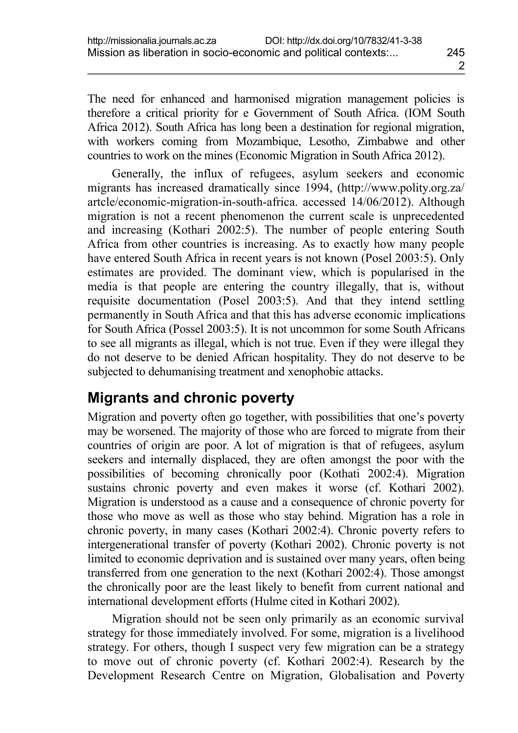The need for enhanced and harmonised migration management policies is therefore a critical priority for e Government of South Africa. (IOM South Africa 2012). South Africa has long been a destination for regional migration, with workers coming from Mozambique, Lesotho, Zimbabwe and other countries to work on the mines (Economic Migration in South Africa 2012).

Generally, the influx of refugees, asylum seekers and economic migrants has increased dramatically since 1994, (http://www.polity.org.za/ artcle/economic-migration-in-south-africa. accessed 14/06/2012). Although migration is not a recent phenomenon the current scale is unprecedented and increasing (Kothari 2002:5). The number of people entering South Africa from other countries is increasing. As to exactly how many people have entered South Africa in recent years is not known (Posel 2003:5). Only estimates are provided. The dominant view, which is popularised in the media is that people are entering the country illegally, that is, without requisite documentation (Posel 2003:5). And that they intend settling permanently in South Africa and that this has adverse economic implications for South Africa (Possel 2003:5). It is not uncommon for some South Africans to see all migrants as illegal, which is not true. Even if they were illegal they do not deserve to be denied African hospitality. They do not deserve to be subjected to dehumanising treatment and xenophobic attacks.

## **Migrants and chronic poverty**

Migration and poverty often go together, with possibilities that one's poverty may be worsened. The majority of those who are forced to migrate from their countries of origin are poor. A lot of migration is that of refugees, asylum seekers and internally displaced, they are often amongst the poor with the possibilities of becoming chronically poor (Kothati 2002:4). Migration sustains chronic poverty and even makes it worse (cf. Kothari 2002). Migration is understood as a cause and a consequence of chronic poverty for those who move as well as those who stay behind. Migration has a role in chronic poverty, in many cases (Kothari 2002:4). Chronic poverty refers to intergenerational transfer of poverty (Kothari 2002). Chronic poverty is not limited to economic deprivation and is sustained over many years, often being transferred from one generation to the next (Kothari 2002:4). Those amongst the chronically poor are the least likely to benefit from current national and international development efforts (Hulme cited in Kothari 2002).

Migration should not be seen only primarily as an economic survival strategy for those immediately involved. For some, migration is a livelihood strategy. For others, though I suspect very few migration can be a strategy to move out of chronic poverty (cf. Kothari 2002:4). Research by the Development Research Centre on Migration, Globalisation and Poverty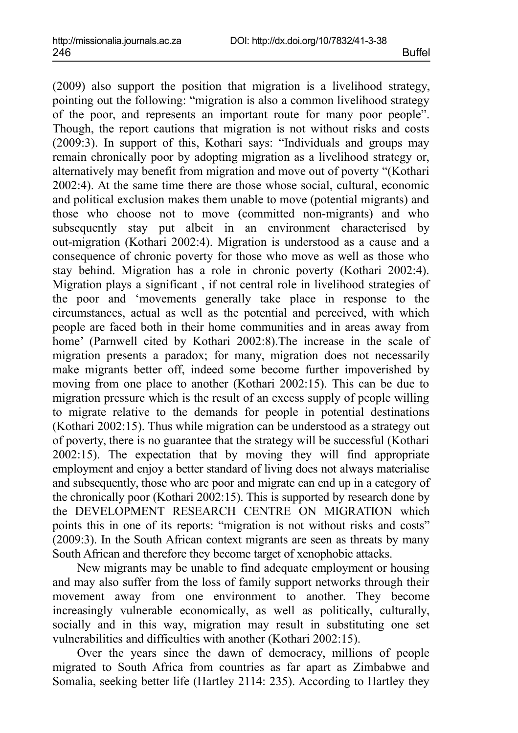(2009) also support the position that migration is a livelihood strategy, pointing out the following: "migration is also a common livelihood strategy of the poor, and represents an important route for many poor people". Though, the report cautions that migration is not without risks and costs (2009:3). In support of this, Kothari says: "Individuals and groups may remain chronically poor by adopting migration as a livelihood strategy or, alternatively may benefit from migration and move out of poverty "(Kothari 2002:4). At the same time there are those whose social, cultural, economic and political exclusion makes them unable to move (potential migrants) and those who choose not to move (committed non-migrants) and who subsequently stay put albeit in an environment characterised by out-migration (Kothari 2002:4). Migration is understood as a cause and a consequence of chronic poverty for those who move as well as those who stay behind. Migration has a role in chronic poverty (Kothari 2002:4). Migration plays a significant , if not central role in livelihood strategies of the poor and 'movements generally take place in response to the circumstances, actual as well as the potential and perceived, with which people are faced both in their home communities and in areas away from home' (Parnwell cited by Kothari 2002:8).The increase in the scale of migration presents a paradox; for many, migration does not necessarily make migrants better off, indeed some become further impoverished by moving from one place to another (Kothari 2002:15). This can be due to migration pressure which is the result of an excess supply of people willing to migrate relative to the demands for people in potential destinations (Kothari 2002:15). Thus while migration can be understood as a strategy out of poverty, there is no guarantee that the strategy will be successful (Kothari 2002:15). The expectation that by moving they will find appropriate employment and enjoy a better standard of living does not always materialise and subsequently, those who are poor and migrate can end up in a category of the chronically poor (Kothari 2002:15). This is supported by research done by the DEVELOPMENT RESEARCH CENTRE ON MIGRATION which points this in one of its reports: "migration is not without risks and costs" (2009:3). In the South African context migrants are seen as threats by many South African and therefore they become target of xenophobic attacks.

New migrants may be unable to find adequate employment or housing and may also suffer from the loss of family support networks through their movement away from one environment to another. They become increasingly vulnerable economically, as well as politically, culturally, socially and in this way, migration may result in substituting one set vulnerabilities and difficulties with another (Kothari 2002:15).

Over the years since the dawn of democracy, millions of people migrated to South Africa from countries as far apart as Zimbabwe and Somalia, seeking better life (Hartley 2114: 235). According to Hartley they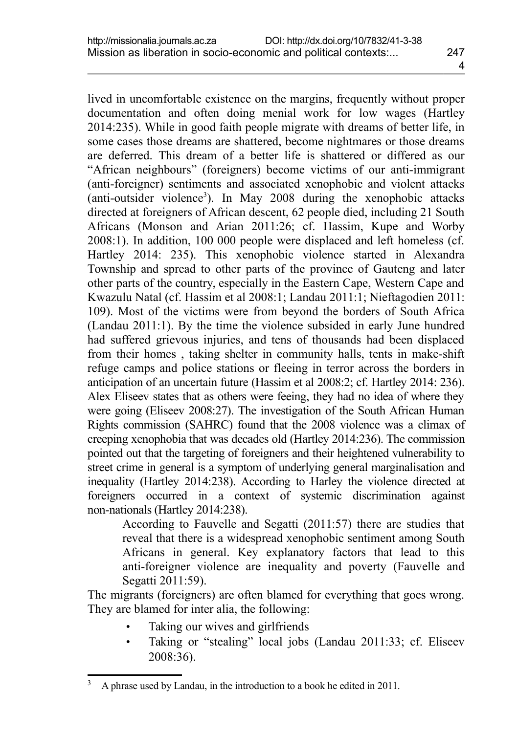lived in uncomfortable existence on the margins, frequently without proper documentation and often doing menial work for low wages (Hartley 2014:235). While in good faith people migrate with dreams of better life, in some cases those dreams are shattered, become nightmares or those dreams are deferred. This dream of a better life is shattered or differed as our "African neighbours" (foreigners) become victims of our anti-immigrant (anti-foreigner) sentiments and associated xenophobic and violent attacks (anti-outsider violence<sup>[3](#page-8-0)</sup>). In May 2008 during the xenophobic attacks directed at foreigners of African descent, 62 people died, including 21 South Africans (Monson and Arian 2011:26; cf. Hassim, Kupe and Worby 2008:1). In addition, 100 000 people were displaced and left homeless (cf. Hartley 2014: 235). This xenophobic violence started in Alexandra Township and spread to other parts of the province of Gauteng and later other parts of the country, especially in the Eastern Cape, Western Cape and Kwazulu Natal (cf. Hassim et al 2008:1; Landau 2011:1; Nieftagodien 2011: 109). Most of the victims were from beyond the borders of South Africa (Landau 2011:1). By the time the violence subsided in early June hundred had suffered grievous injuries, and tens of thousands had been displaced from their homes , taking shelter in community halls, tents in make-shift refuge camps and police stations or fleeing in terror across the borders in anticipation of an uncertain future (Hassim et al 2008:2; cf. Hartley 2014: 236). Alex Eliseev states that as others were feeing, they had no idea of where they were going (Eliseev 2008:27). The investigation of the South African Human Rights commission (SAHRC) found that the 2008 violence was a climax of creeping xenophobia that was decades old (Hartley 2014:236). The commission pointed out that the targeting of foreigners and their heightened vulnerability to street crime in general is a symptom of underlying general marginalisation and inequality (Hartley 2014:238). According to Harley the violence directed at foreigners occurred in a context of systemic discrimination against non-nationals (Hartley 2014:238).

According to Fauvelle and Segatti (2011:57) there are studies that reveal that there is a widespread xenophobic sentiment among South Africans in general. Key explanatory factors that lead to this anti-foreigner violence are inequality and poverty (Fauvelle and Segatti 2011:59).

The migrants (foreigners) are often blamed for everything that goes wrong. They are blamed for inter alia, the following:

- Taking our wives and girlfriends
- Taking or "stealing" local jobs (Landau 2011:33; cf. Eliseev 2008:36).

<span id="page-8-0"></span><sup>&</sup>lt;sup>3</sup> A phrase used by Landau, in the introduction to a book he edited in 2011.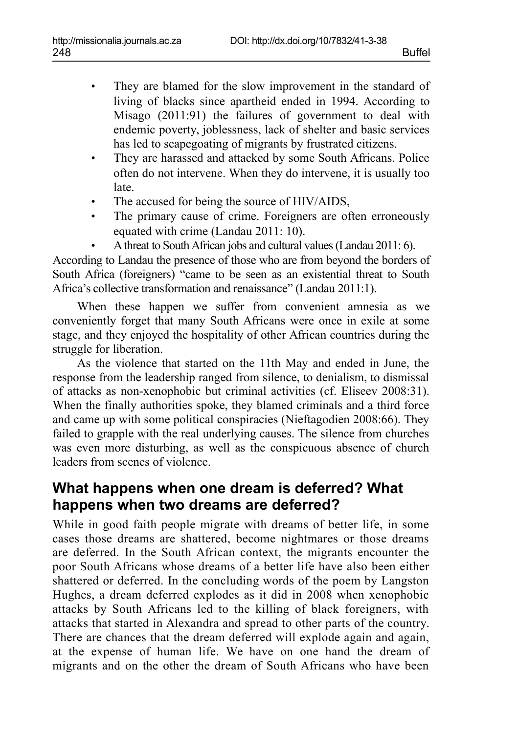- They are blamed for the slow improvement in the standard of living of blacks since apartheid ended in 1994. According to Misago (2011:91) the failures of government to deal with endemic poverty, joblessness, lack of shelter and basic services has led to scapegoating of migrants by frustrated citizens.
- They are harassed and attacked by some South Africans. Police often do not intervene. When they do intervene, it is usually too late.
- The accused for being the source of HIV/AIDS,
- The primary cause of crime. Foreigners are often erroneously equated with crime (Landau 2011: 10).
- A threat to South African jobs and cultural values (Landau 2011: 6).

According to Landau the presence of those who are from beyond the borders of South Africa (foreigners) "came to be seen as an existential threat to South Africa's collective transformation and renaissance" (Landau 2011:1).

When these happen we suffer from convenient amnesia as we conveniently forget that many South Africans were once in exile at some stage, and they enjoyed the hospitality of other African countries during the struggle for liberation.

As the violence that started on the 11th May and ended in June, the response from the leadership ranged from silence, to denialism, to dismissal of attacks as non-xenophobic but criminal activities (cf. Eliseev 2008:31). When the finally authorities spoke, they blamed criminals and a third force and came up with some political conspiracies (Nieftagodien 2008:66). They failed to grapple with the real underlying causes. The silence from churches was even more disturbing, as well as the conspicuous absence of church leaders from scenes of violence.

## **What happens when one dream is deferred? What happens when two dreams are deferred?**

While in good faith people migrate with dreams of better life, in some cases those dreams are shattered, become nightmares or those dreams are deferred. In the South African context, the migrants encounter the poor South Africans whose dreams of a better life have also been either shattered or deferred. In the concluding words of the poem by Langston Hughes, a dream deferred explodes as it did in 2008 when xenophobic attacks by South Africans led to the killing of black foreigners, with attacks that started in Alexandra and spread to other parts of the country. There are chances that the dream deferred will explode again and again, at the expense of human life. We have on one hand the dream of migrants and on the other the dream of South Africans who have been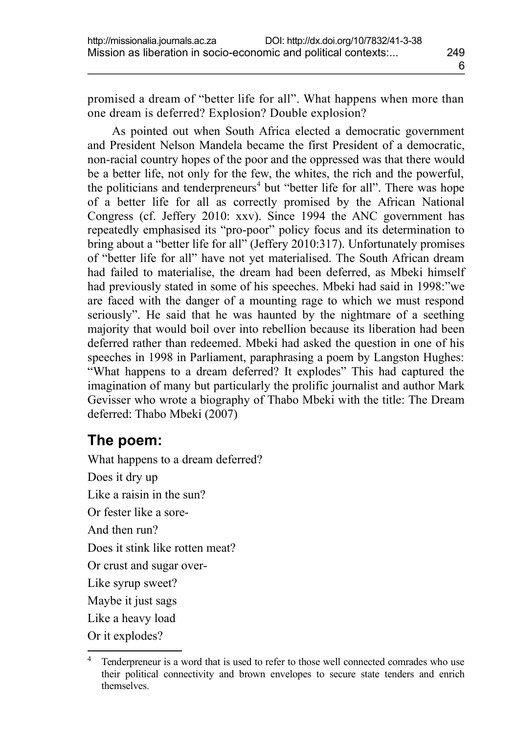promised a dream of "better life for all". What happens when more than one dream is deferred? Explosion? Double explosion?

As pointed out when South Africa elected a democratic government and President Nelson Mandela became the first President of a democratic, non-racial country hopes of the poor and the oppressed was that there would be a better life, not only for the few, the whites, the rich and the powerful, the politicians and tenderpreneurs<sup>[4](#page-10-0)</sup> but "better life for all". There was hope of a better life for all as correctly promised by the African National Congress (cf. Jeffery 2010: xxv). Since 1994 the ANC government has repeatedly emphasised its "pro-poor" policy focus and its determination to bring about a "better life for all" (Jeffery 2010:317). Unfortunately promises of "better life for all" have not yet materialised. The South African dream had failed to materialise, the dream had been deferred, as Mbeki himself had previously stated in some of his speeches. Mbeki had said in 1998:"we are faced with the danger of a mounting rage to which we must respond seriously". He said that he was haunted by the nightmare of a seething majority that would boil over into rebellion because its liberation had been deferred rather than redeemed. Mbeki had asked the question in one of his speeches in 1998 in Parliament, paraphrasing a poem by Langston Hughes: "What happens to a dream deferred? It explodes" This had captured the imagination of many but particularly the prolific journalist and author Mark Gevisser who wrote a biography of Thabo Mbeki with the title: The Dream deferred: Thabo Mbeki (2007)

## **The poem:**

What happens to a dream deferred? Does it dry up Like a raisin in the sun? Or fester like a sore-And then run? Does it stink like rotten meat? Or crust and sugar over-Like syrup sweet? Maybe it just sags Like a heavy load Or it explodes?

<span id="page-10-0"></span>Tenderpreneur is a word that is used to refer to those well connected comrades who use their political connectivity and brown envelopes to secure state tenders and enrich themselves.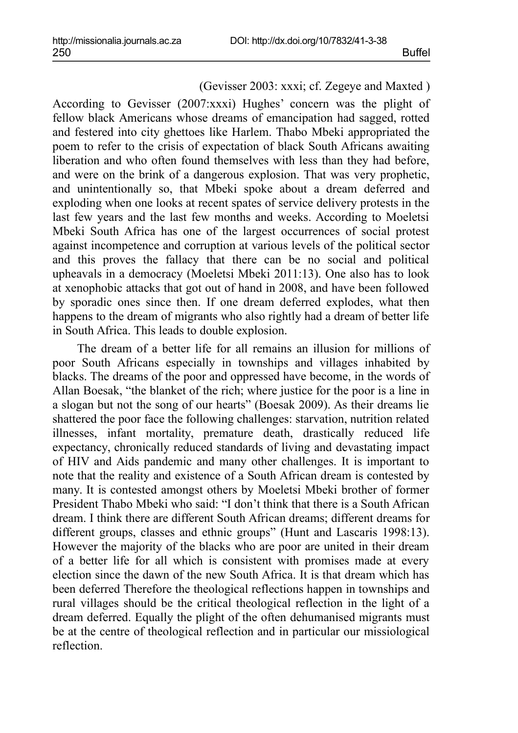(Gevisser 2003: xxxi; cf. Zegeye and Maxted )

According to Gevisser (2007:xxxi) Hughes' concern was the plight of fellow black Americans whose dreams of emancipation had sagged, rotted and festered into city ghettoes like Harlem. Thabo Mbeki appropriated the poem to refer to the crisis of expectation of black South Africans awaiting liberation and who often found themselves with less than they had before, and were on the brink of a dangerous explosion. That was very prophetic, and unintentionally so, that Mbeki spoke about a dream deferred and exploding when one looks at recent spates of service delivery protests in the last few years and the last few months and weeks. According to Moeletsi Mbeki South Africa has one of the largest occurrences of social protest against incompetence and corruption at various levels of the political sector and this proves the fallacy that there can be no social and political upheavals in a democracy (Moeletsi Mbeki 2011:13). One also has to look at xenophobic attacks that got out of hand in 2008, and have been followed by sporadic ones since then. If one dream deferred explodes, what then happens to the dream of migrants who also rightly had a dream of better life in South Africa. This leads to double explosion.

The dream of a better life for all remains an illusion for millions of poor South Africans especially in townships and villages inhabited by blacks. The dreams of the poor and oppressed have become, in the words of Allan Boesak, "the blanket of the rich; where justice for the poor is a line in a slogan but not the song of our hearts" (Boesak 2009). As their dreams lie shattered the poor face the following challenges: starvation, nutrition related illnesses, infant mortality, premature death, drastically reduced life expectancy, chronically reduced standards of living and devastating impact of HIV and Aids pandemic and many other challenges. It is important to note that the reality and existence of a South African dream is contested by many. It is contested amongst others by Moeletsi Mbeki brother of former President Thabo Mbeki who said: "I don't think that there is a South African dream. I think there are different South African dreams; different dreams for different groups, classes and ethnic groups" (Hunt and Lascaris 1998:13). However the majority of the blacks who are poor are united in their dream of a better life for all which is consistent with promises made at every election since the dawn of the new South Africa. It is that dream which has been deferred Therefore the theological reflections happen in townships and rural villages should be the critical theological reflection in the light of a dream deferred. Equally the plight of the often dehumanised migrants must be at the centre of theological reflection and in particular our missiological reflection.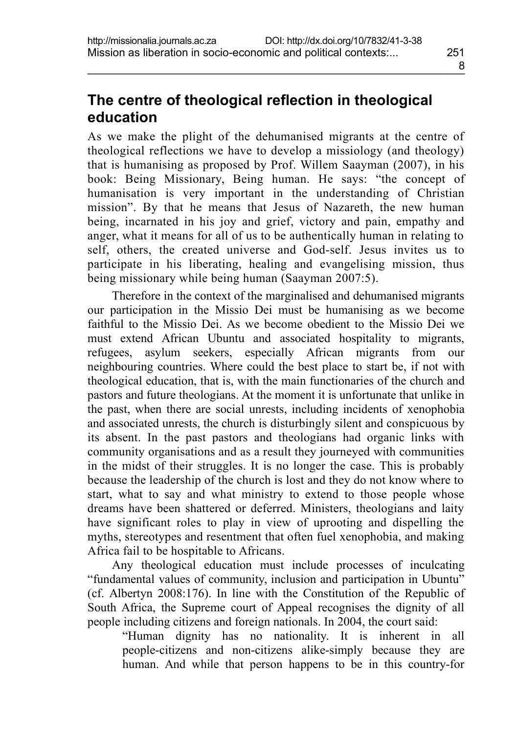# **The centre of theological reflection in theological education**

As we make the plight of the dehumanised migrants at the centre of theological reflections we have to develop a missiology (and theology) that is humanising as proposed by Prof. Willem Saayman (2007), in his book: Being Missionary, Being human. He says: "the concept of humanisation is very important in the understanding of Christian mission". By that he means that Jesus of Nazareth, the new human being, incarnated in his joy and grief, victory and pain, empathy and anger, what it means for all of us to be authentically human in relating to self, others, the created universe and God-self. Jesus invites us to participate in his liberating, healing and evangelising mission, thus being missionary while being human (Saayman 2007:5).

Therefore in the context of the marginalised and dehumanised migrants our participation in the Missio Dei must be humanising as we become faithful to the Missio Dei. As we become obedient to the Missio Dei we must extend African Ubuntu and associated hospitality to migrants, refugees, asylum seekers, especially African migrants from our neighbouring countries. Where could the best place to start be, if not with theological education, that is, with the main functionaries of the church and pastors and future theologians. At the moment it is unfortunate that unlike in the past, when there are social unrests, including incidents of xenophobia and associated unrests, the church is disturbingly silent and conspicuous by its absent. In the past pastors and theologians had organic links with community organisations and as a result they journeyed with communities in the midst of their struggles. It is no longer the case. This is probably because the leadership of the church is lost and they do not know where to start, what to say and what ministry to extend to those people whose dreams have been shattered or deferred. Ministers, theologians and laity have significant roles to play in view of uprooting and dispelling the myths, stereotypes and resentment that often fuel xenophobia, and making Africa fail to be hospitable to Africans.

Any theological education must include processes of inculcating "fundamental values of community, inclusion and participation in Ubuntu" (cf. Albertyn 2008:176). In line with the Constitution of the Republic of South Africa, the Supreme court of Appeal recognises the dignity of all people including citizens and foreign nationals. In 2004, the court said:

"Human dignity has no nationality. It is inherent in all people-citizens and non-citizens alike-simply because they are human. And while that person happens to be in this country-for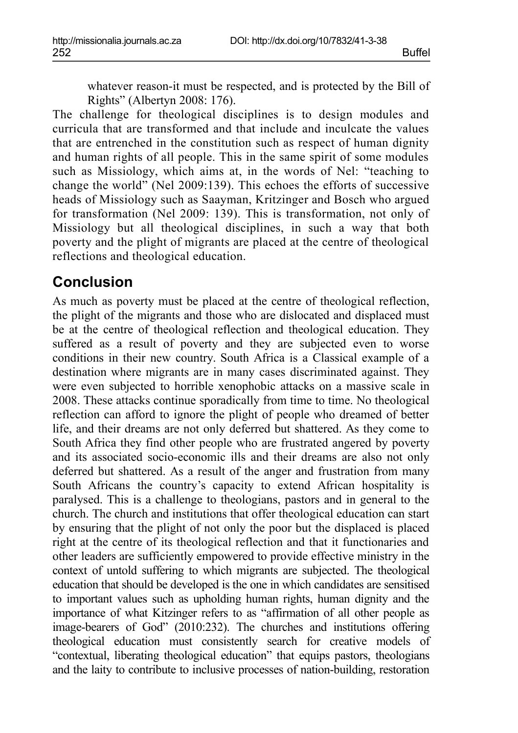whatever reason-it must be respected, and is protected by the Bill of Rights" (Albertyn 2008: 176).

The challenge for theological disciplines is to design modules and curricula that are transformed and that include and inculcate the values that are entrenched in the constitution such as respect of human dignity and human rights of all people. This in the same spirit of some modules such as Missiology, which aims at, in the words of Nel: "teaching to change the world" (Nel 2009:139). This echoes the efforts of successive heads of Missiology such as Saayman, Kritzinger and Bosch who argued for transformation (Nel 2009: 139). This is transformation, not only of Missiology but all theological disciplines, in such a way that both poverty and the plight of migrants are placed at the centre of theological reflections and theological education.

#### **Conclusion**

As much as poverty must be placed at the centre of theological reflection, the plight of the migrants and those who are dislocated and displaced must be at the centre of theological reflection and theological education. They suffered as a result of poverty and they are subjected even to worse conditions in their new country. South Africa is a Classical example of a destination where migrants are in many cases discriminated against. They were even subjected to horrible xenophobic attacks on a massive scale in 2008. These attacks continue sporadically from time to time. No theological reflection can afford to ignore the plight of people who dreamed of better life, and their dreams are not only deferred but shattered. As they come to South Africa they find other people who are frustrated angered by poverty and its associated socio-economic ills and their dreams are also not only deferred but shattered. As a result of the anger and frustration from many South Africans the country's capacity to extend African hospitality is paralysed. This is a challenge to theologians, pastors and in general to the church. The church and institutions that offer theological education can start by ensuring that the plight of not only the poor but the displaced is placed right at the centre of its theological reflection and that it functionaries and other leaders are sufficiently empowered to provide effective ministry in the context of untold suffering to which migrants are subjected. The theological education that should be developed is the one in which candidates are sensitised to important values such as upholding human rights, human dignity and the importance of what Kitzinger refers to as "affirmation of all other people as image-bearers of God" (2010:232). The churches and institutions offering theological education must consistently search for creative models of "contextual, liberating theological education" that equips pastors, theologians and the laity to contribute to inclusive processes of nation-building, restoration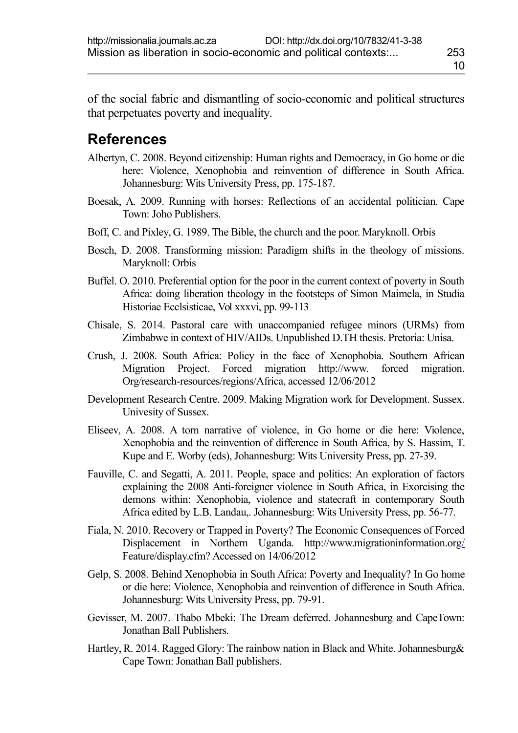of the social fabric and dismantling of socio-economic and political structures that perpetuates poverty and inequality.

## **References**

- Albertyn, C. 2008. Beyond citizenship: Human rights and Democracy, in Go home or die here: Violence, Xenophobia and reinvention of difference in South Africa. Johannesburg: Wits University Press, pp. 175-187.
- Boesak, A. 2009. Running with horses: Reflections of an accidental politician. Cape Town: Joho Publishers.
- Boff, C. and Pixley, G. 1989. The Bible, the church and the poor. Maryknoll. Orbis
- Bosch, D. 2008. Transforming mission: Paradigm shifts in the theology of missions. Maryknoll: Orbis
- Buffel. O. 2010. Preferential option for the poor in the current context of poverty in South Africa: doing liberation theology in the footsteps of Simon Maimela, in Studia Historiae Ecclsisticae, Vol xxxvi, pp. 99-113
- Chisale, S. 2014. Pastoral care with unaccompanied refugee minors (URMs) from Zimbabwe in context of HIV/AIDs. Unpublished D.TH thesis. Pretoria: Unisa.
- Crush, J. 2008. South Africa: Policy in the face of Xenophobia. Southern African Migration Project. Forced migration http://www. forced migration. Org/research-resources/regions/Africa, accessed 12/06/2012
- Development Research Centre. 2009. Making Migration work for Development. Sussex. Univesity of Sussex.
- Eliseev, A. 2008. A torn narrative of violence, in Go home or die here: Violence, Xenophobia and the reinvention of difference in South Africa, by S. Hassim, T. Kupe and E. Worby (eds), Johannesburg: Wits University Press, pp. 27-39.
- Fauville, C. and Segatti, A. 2011. People, space and politics: An exploration of factors explaining the 2008 Anti-foreigner violence in South Africa, in Exorcising the demons within: Xenophobia, violence and statecraft in contemporary South Africa edited by L.B. Landau,. Johannesburg: Wits University Press, pp. 56-77.
- Fiala, N. 2010. Recovery or Trapped in Poverty? The Economic Consequences of Forced Displacement in Northern Uganda. http://www.migrationinformation.or[g/](http://www.migrationinformation.org/) Feature/display.cfm? Accessed on 14/06/2012
- Gelp, S. 2008. Behind Xenophobia in South Africa: Poverty and Inequality? In Go home or die here: Violence, Xenophobia and reinvention of difference in South Africa. Johannesburg: Wits University Press, pp. 79-91.
- Gevisser, M. 2007. Thabo Mbeki: The Dream deferred. Johannesburg and CapeTown: Jonathan Ball Publishers.
- Hartley, R. 2014. Ragged Glory: The rainbow nation in Black and White. Johannesburg & Cape Town: Jonathan Ball publishers.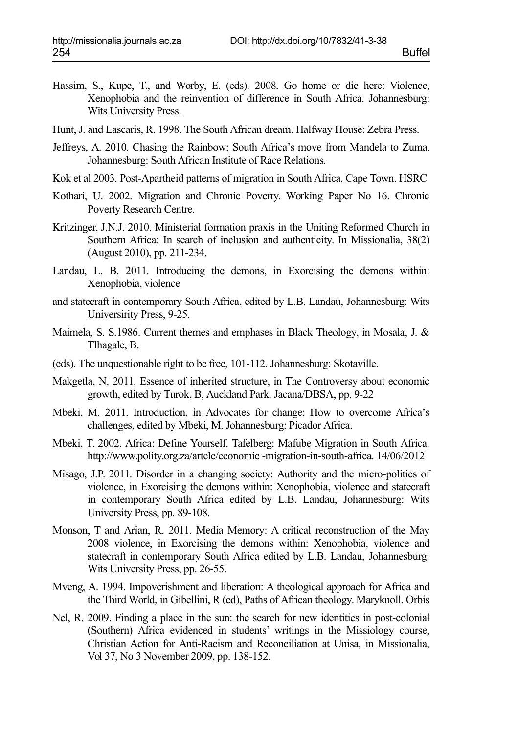- Hassim, S., Kupe, T., and Worby, E. (eds). 2008. Go home or die here: Violence, Xenophobia and the reinvention of difference in South Africa. Johannesburg: Wits University Press.
- Hunt, J. and Lascaris, R. 1998. The South African dream. Halfway House: Zebra Press.
- Jeffreys, A. 2010. Chasing the Rainbow: South Africa's move from Mandela to Zuma. Johannesburg: South African Institute of Race Relations.
- Kok et al 2003. Post-Apartheid patterns of migration in South Africa. Cape Town. HSRC
- Kothari, U. 2002. Migration and Chronic Poverty. Working Paper No 16. Chronic Poverty Research Centre.
- Kritzinger, J.N.J. 2010. Ministerial formation praxis in the Uniting Reformed Church in Southern Africa: In search of inclusion and authenticity. In Missionalia, 38(2) (August 2010), pp. 211-234.
- Landau, L. B. 2011. Introducing the demons, in Exorcising the demons within: Xenophobia, violence
- and statecraft in contemporary South Africa, edited by L.B. Landau, Johannesburg: Wits Universirity Press, 9-25.
- Maimela, S. S.1986. Current themes and emphases in Black Theology, in Mosala, J. & Tlhagale, B.
- (eds). The unquestionable right to be free, 101-112. Johannesburg: Skotaville.
- Makgetla, N. 2011. Essence of inherited structure, in The Controversy about economic growth, edited by Turok, B, Auckland Park. Jacana/DBSA, pp. 9-22
- Mbeki, M. 2011. Introduction, in Advocates for change: How to overcome Africa's challenges, edited by Mbeki, M. Johannesburg: Picador Africa.
- Mbeki, T. 2002. Africa: Define Yourself. Tafelberg: Mafube Migration in South Africa. http://www.polity.org.za/artcle/economic -migration-in-south-africa. 14/06/2012
- Misago, J.P. 2011. Disorder in a changing society: Authority and the micro-politics of violence, in Exorcising the demons within: Xenophobia, violence and statecraft in contemporary South Africa edited by L.B. Landau, Johannesburg: Wits University Press, pp. 89-108.
- Monson, T and Arian, R. 2011. Media Memory: A critical reconstruction of the May 2008 violence, in Exorcising the demons within: Xenophobia, violence and statecraft in contemporary South Africa edited by L.B. Landau, Johannesburg: Wits University Press, pp. 26-55.
- Mveng, A. 1994. Impoverishment and liberation: A theological approach for Africa and the Third World, in Gibellini, R (ed), Paths of African theology. Maryknoll. Orbis
- Nel, R. 2009. Finding a place in the sun: the search for new identities in post-colonial (Southern) Africa evidenced in students' writings in the Missiology course, Christian Action for Anti-Racism and Reconciliation at Unisa, in Missionalia, Vol 37, No 3 November 2009, pp. 138-152.